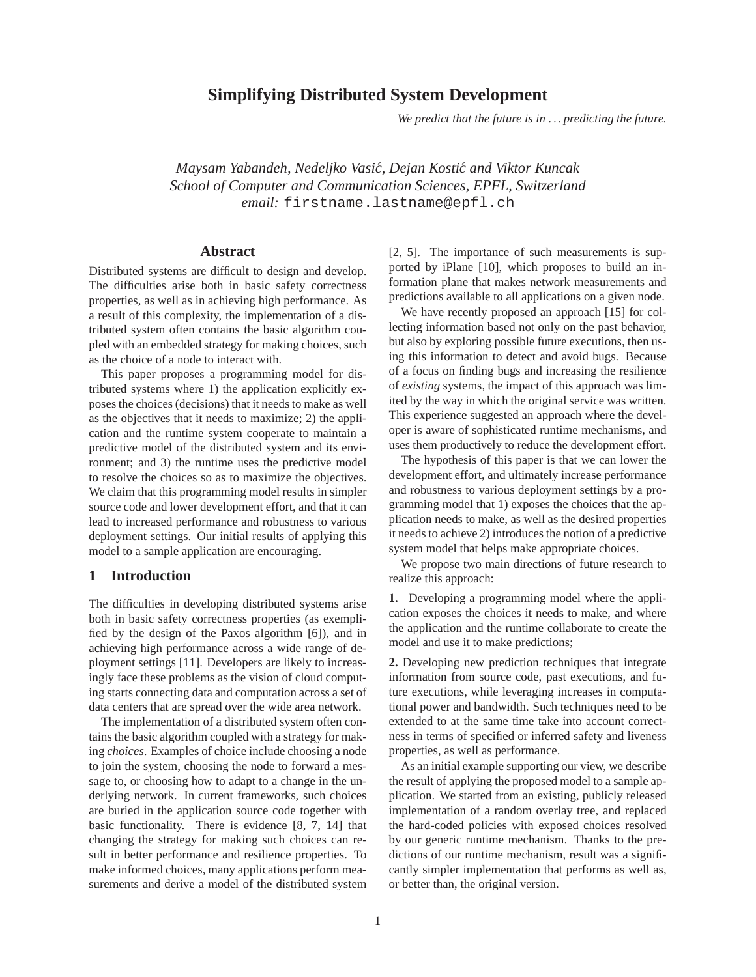# **Simplifying Distributed System Development**

*We predict that the future is in . . . predicting the future.*

*Maysam Yabandeh, Nedeljko Vasic, Dejan Kosti ´ c and Viktor Kuncak ´ School of Computer and Communication Sciences, EPFL, Switzerland email:* firstname.lastname@epfl.ch

### **Abstract**

Distributed systems are difficult to design and develop. The difficulties arise both in basic safety correctness properties, as well as in achieving high performance. As a result of this complexity, the implementation of a distributed system often contains the basic algorithm coupled with an embedded strategy for making choices, such as the choice of a node to interact with.

This paper proposes a programming model for distributed systems where 1) the application explicitly exposes the choices (decisions) that it needs to make as well as the objectives that it needs to maximize; 2) the application and the runtime system cooperate to maintain a predictive model of the distributed system and its environment; and 3) the runtime uses the predictive model to resolve the choices so as to maximize the objectives. We claim that this programming model results in simpler source code and lower development effort, and that it can lead to increased performance and robustness to various deployment settings. Our initial results of applying this model to a sample application are encouraging.

#### **1 Introduction**

The difficulties in developing distributed systems arise both in basic safety correctness properties (as exemplified by the design of the Paxos algorithm [6]), and in achieving high performance across a wide range of deployment settings [11]. Developers are likely to increasingly face these problems as the vision of cloud computing starts connecting data and computation across a set of data centers that are spread over the wide area network.

The implementation of a distributed system often contains the basic algorithm coupled with a strategy for making *choices*. Examples of choice include choosing a node to join the system, choosing the node to forward a message to, or choosing how to adapt to a change in the underlying network. In current frameworks, such choices are buried in the application source code together with basic functionality. There is evidence [8, 7, 14] that changing the strategy for making such choices can result in better performance and resilience properties. To make informed choices, many applications perform measurements and derive a model of the distributed system [2, 5]. The importance of such measurements is supported by iPlane [10], which proposes to build an information plane that makes network measurements and predictions available to all applications on a given node.

We have recently proposed an approach [15] for collecting information based not only on the past behavior, but also by exploring possible future executions, then using this information to detect and avoid bugs. Because of a focus on finding bugs and increasing the resilience of *existing* systems, the impact of this approach was limited by the way in which the original service was written. This experience suggested an approach where the developer is aware of sophisticated runtime mechanisms, and uses them productively to reduce the development effort.

The hypothesis of this paper is that we can lower the development effort, and ultimately increase performance and robustness to various deployment settings by a programming model that 1) exposes the choices that the application needs to make, as well as the desired properties it needs to achieve 2) introduces the notion of a predictive system model that helps make appropriate choices.

We propose two main directions of future research to realize this approach:

**1.** Developing a programming model where the application exposes the choices it needs to make, and where the application and the runtime collaborate to create the model and use it to make predictions;

**2.** Developing new prediction techniques that integrate information from source code, past executions, and future executions, while leveraging increases in computational power and bandwidth. Such techniques need to be extended to at the same time take into account correctness in terms of specified or inferred safety and liveness properties, as well as performance.

As an initial example supporting our view, we describe the result of applying the proposed model to a sample application. We started from an existing, publicly released implementation of a random overlay tree, and replaced the hard-coded policies with exposed choices resolved by our generic runtime mechanism. Thanks to the predictions of our runtime mechanism, result was a significantly simpler implementation that performs as well as, or better than, the original version.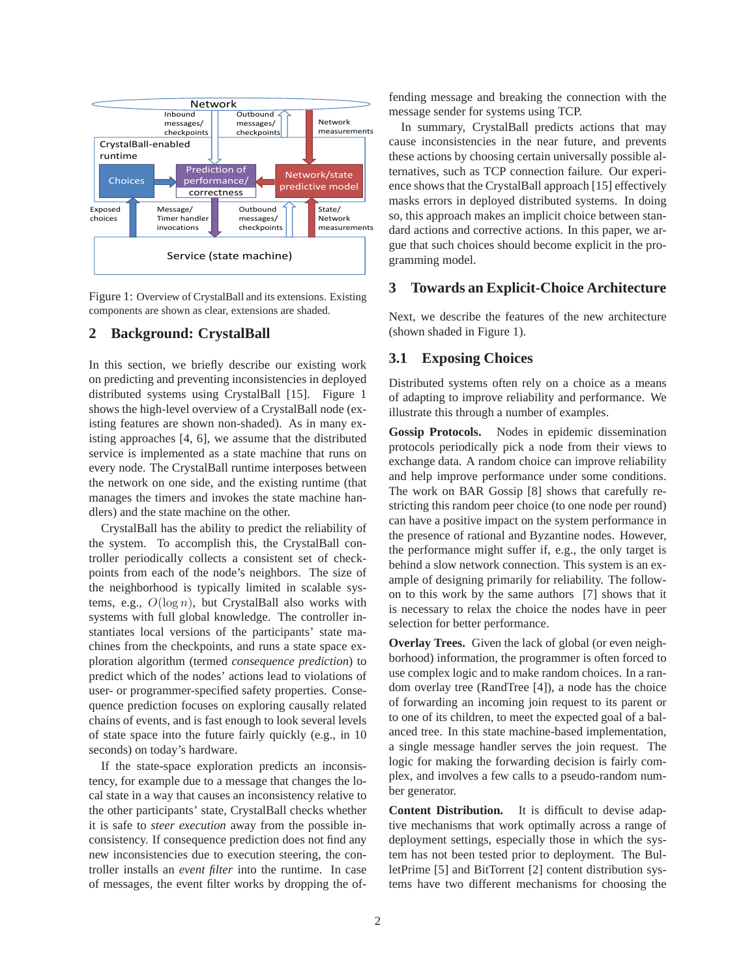

Figure 1: Overview of CrystalBall and its extensions. Existing components are shown as clear, extensions are shaded.

## **2 Background: CrystalBall**

In this section, we briefly describe our existing work on predicting and preventing inconsistencies in deployed distributed systems using CrystalBall [15]. Figure 1 shows the high-level overview of a CrystalBall node (existing features are shown non-shaded). As in many existing approaches [4, 6], we assume that the distributed service is implemented as a state machine that runs on every node. The CrystalBall runtime interposes between the network on one side, and the existing runtime (that manages the timers and invokes the state machine handlers) and the state machine on the other.

CrystalBall has the ability to predict the reliability of the system. To accomplish this, the CrystalBall controller periodically collects a consistent set of checkpoints from each of the node's neighbors. The size of the neighborhood is typically limited in scalable systems, e.g.,  $O(\log n)$ , but CrystalBall also works with systems with full global knowledge. The controller instantiates local versions of the participants' state machines from the checkpoints, and runs a state space exploration algorithm (termed *consequence prediction*) to predict which of the nodes' actions lead to violations of user- or programmer-specified safety properties. Consequence prediction focuses on exploring causally related chains of events, and is fast enough to look several levels of state space into the future fairly quickly (e.g., in 10 seconds) on today's hardware.

If the state-space exploration predicts an inconsistency, for example due to a message that changes the local state in a way that causes an inconsistency relative to the other participants' state, CrystalBall checks whether it is safe to *steer execution* away from the possible inconsistency. If consequence prediction does not find any new inconsistencies due to execution steering, the controller installs an *event filter* into the runtime. In case of messages, the event filter works by dropping the offending message and breaking the connection with the message sender for systems using TCP.

In summary, CrystalBall predicts actions that may cause inconsistencies in the near future, and prevents these actions by choosing certain universally possible alternatives, such as TCP connection failure. Our experience shows that the CrystalBall approach [15] effectively masks errors in deployed distributed systems. In doing so, this approach makes an implicit choice between standard actions and corrective actions. In this paper, we argue that such choices should become explicit in the programming model.

### **3 Towards an Explicit-Choice Architecture**

Next, we describe the features of the new architecture (shown shaded in Figure 1).

### **3.1 Exposing Choices**

Distributed systems often rely on a choice as a means of adapting to improve reliability and performance. We illustrate this through a number of examples.

**Gossip Protocols.** Nodes in epidemic dissemination protocols periodically pick a node from their views to exchange data. A random choice can improve reliability and help improve performance under some conditions. The work on BAR Gossip [8] shows that carefully restricting this random peer choice (to one node per round) can have a positive impact on the system performance in the presence of rational and Byzantine nodes. However, the performance might suffer if, e.g., the only target is behind a slow network connection. This system is an example of designing primarily for reliability. The followon to this work by the same authors [7] shows that it is necessary to relax the choice the nodes have in peer selection for better performance.

**Overlay Trees.** Given the lack of global (or even neighborhood) information, the programmer is often forced to use complex logic and to make random choices. In a random overlay tree (RandTree [4]), a node has the choice of forwarding an incoming join request to its parent or to one of its children, to meet the expected goal of a balanced tree. In this state machine-based implementation, a single message handler serves the join request. The logic for making the forwarding decision is fairly complex, and involves a few calls to a pseudo-random number generator.

**Content Distribution.** It is difficult to devise adaptive mechanisms that work optimally across a range of deployment settings, especially those in which the system has not been tested prior to deployment. The BulletPrime [5] and BitTorrent [2] content distribution systems have two different mechanisms for choosing the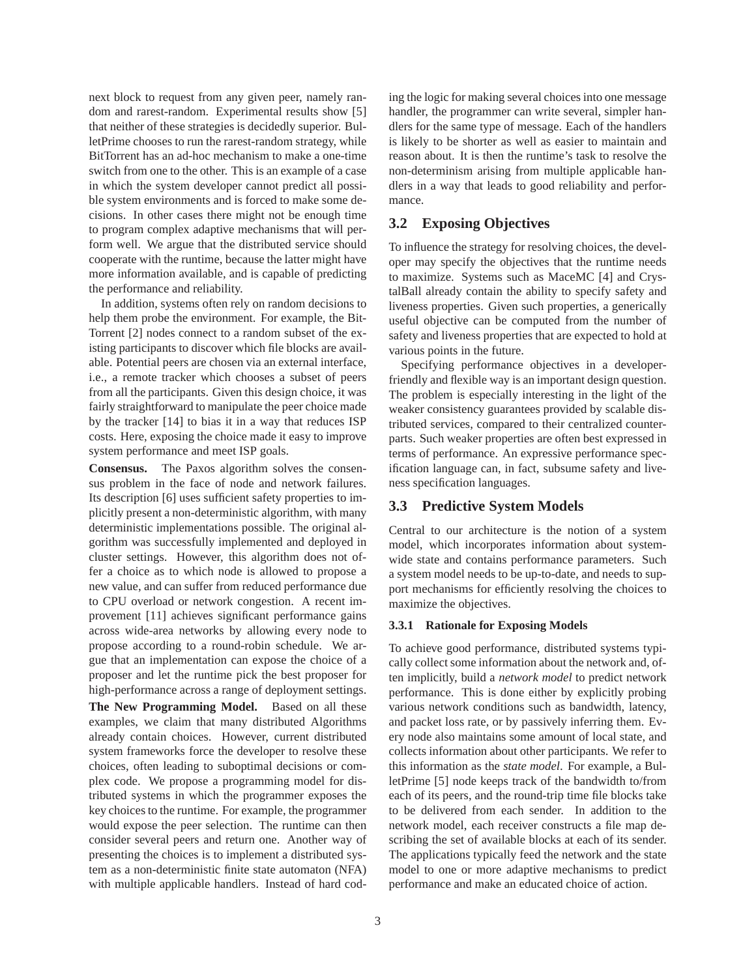next block to request from any given peer, namely random and rarest-random. Experimental results show [5] that neither of these strategies is decidedly superior. BulletPrime chooses to run the rarest-random strategy, while BitTorrent has an ad-hoc mechanism to make a one-time switch from one to the other. This is an example of a case in which the system developer cannot predict all possible system environments and is forced to make some decisions. In other cases there might not be enough time to program complex adaptive mechanisms that will perform well. We argue that the distributed service should cooperate with the runtime, because the latter might have more information available, and is capable of predicting the performance and reliability.

In addition, systems often rely on random decisions to help them probe the environment. For example, the Bit-Torrent [2] nodes connect to a random subset of the existing participants to discover which file blocks are available. Potential peers are chosen via an external interface, i.e., a remote tracker which chooses a subset of peers from all the participants. Given this design choice, it was fairly straightforward to manipulate the peer choice made by the tracker [14] to bias it in a way that reduces ISP costs. Here, exposing the choice made it easy to improve system performance and meet ISP goals.

**Consensus.** The Paxos algorithm solves the consensus problem in the face of node and network failures. Its description [6] uses sufficient safety properties to implicitly present a non-deterministic algorithm, with many deterministic implementations possible. The original algorithm was successfully implemented and deployed in cluster settings. However, this algorithm does not offer a choice as to which node is allowed to propose a new value, and can suffer from reduced performance due to CPU overload or network congestion. A recent improvement [11] achieves significant performance gains across wide-area networks by allowing every node to propose according to a round-robin schedule. We argue that an implementation can expose the choice of a proposer and let the runtime pick the best proposer for high-performance across a range of deployment settings.

**The New Programming Model.** Based on all these examples, we claim that many distributed Algorithms already contain choices. However, current distributed system frameworks force the developer to resolve these choices, often leading to suboptimal decisions or complex code. We propose a programming model for distributed systems in which the programmer exposes the key choices to the runtime. For example, the programmer would expose the peer selection. The runtime can then consider several peers and return one. Another way of presenting the choices is to implement a distributed system as a non-deterministic finite state automaton (NFA) with multiple applicable handlers. Instead of hard coding the logic for making several choices into one message handler, the programmer can write several, simpler handlers for the same type of message. Each of the handlers is likely to be shorter as well as easier to maintain and reason about. It is then the runtime's task to resolve the non-determinism arising from multiple applicable handlers in a way that leads to good reliability and performance.

## **3.2 Exposing Objectives**

To influence the strategy for resolving choices, the developer may specify the objectives that the runtime needs to maximize. Systems such as MaceMC [4] and CrystalBall already contain the ability to specify safety and liveness properties. Given such properties, a generically useful objective can be computed from the number of safety and liveness properties that are expected to hold at various points in the future.

Specifying performance objectives in a developerfriendly and flexible way is an important design question. The problem is especially interesting in the light of the weaker consistency guarantees provided by scalable distributed services, compared to their centralized counterparts. Such weaker properties are often best expressed in terms of performance. An expressive performance specification language can, in fact, subsume safety and liveness specification languages.

#### **3.3 Predictive System Models**

Central to our architecture is the notion of a system model, which incorporates information about systemwide state and contains performance parameters. Such a system model needs to be up-to-date, and needs to support mechanisms for efficiently resolving the choices to maximize the objectives.

#### **3.3.1 Rationale for Exposing Models**

To achieve good performance, distributed systems typically collect some information about the network and, often implicitly, build a *network model* to predict network performance. This is done either by explicitly probing various network conditions such as bandwidth, latency, and packet loss rate, or by passively inferring them. Every node also maintains some amount of local state, and collects information about other participants. We refer to this information as the *state model*. For example, a BulletPrime [5] node keeps track of the bandwidth to/from each of its peers, and the round-trip time file blocks take to be delivered from each sender. In addition to the network model, each receiver constructs a file map describing the set of available blocks at each of its sender. The applications typically feed the network and the state model to one or more adaptive mechanisms to predict performance and make an educated choice of action.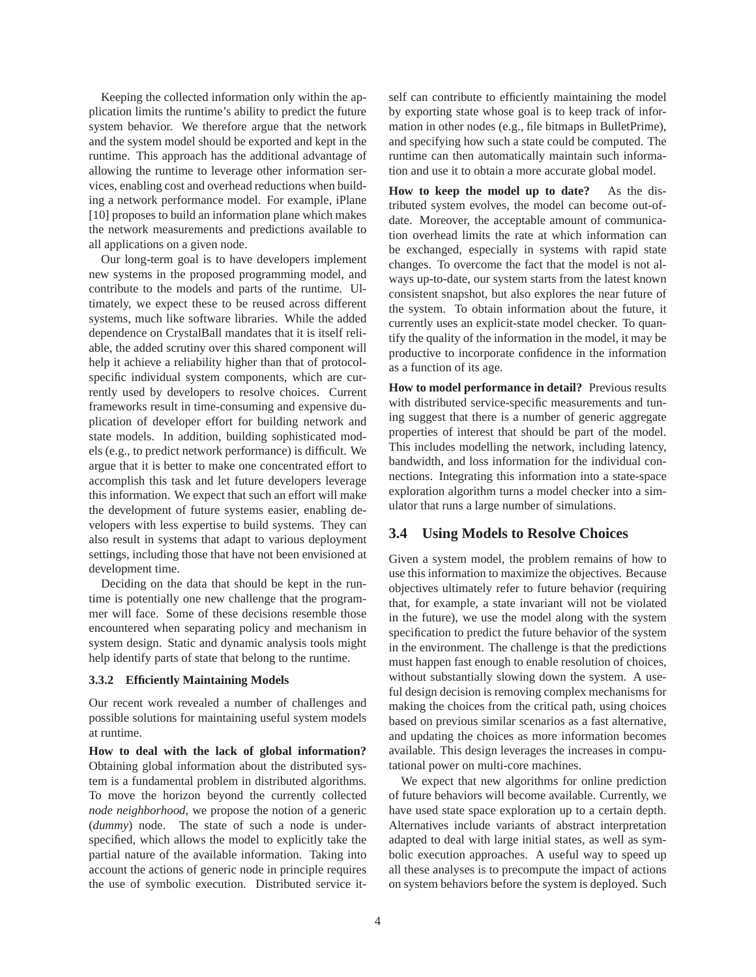Keeping the collected information only within the application limits the runtime's ability to predict the future system behavior. We therefore argue that the network and the system model should be exported and kept in the runtime. This approach has the additional advantage of allowing the runtime to leverage other information services, enabling cost and overhead reductions when building a network performance model. For example, iPlane [10] proposes to build an information plane which makes the network measurements and predictions available to all applications on a given node.

Our long-term goal is to have developers implement new systems in the proposed programming model, and contribute to the models and parts of the runtime. Ultimately, we expect these to be reused across different systems, much like software libraries. While the added dependence on CrystalBall mandates that it is itself reliable, the added scrutiny over this shared component will help it achieve a reliability higher than that of protocolspecific individual system components, which are currently used by developers to resolve choices. Current frameworks result in time-consuming and expensive duplication of developer effort for building network and state models. In addition, building sophisticated models (e.g., to predict network performance) is difficult. We argue that it is better to make one concentrated effort to accomplish this task and let future developers leverage this information. We expect that such an effort will make the development of future systems easier, enabling developers with less expertise to build systems. They can also result in systems that adapt to various deployment settings, including those that have not been envisioned at development time.

Deciding on the data that should be kept in the runtime is potentially one new challenge that the programmer will face. Some of these decisions resemble those encountered when separating policy and mechanism in system design. Static and dynamic analysis tools might help identify parts of state that belong to the runtime.

#### **3.3.2 Efficiently Maintaining Models**

Our recent work revealed a number of challenges and possible solutions for maintaining useful system models at runtime.

**How to deal with the lack of global information?** Obtaining global information about the distributed system is a fundamental problem in distributed algorithms. To move the horizon beyond the currently collected *node neighborhood*, we propose the notion of a generic (*dummy*) node. The state of such a node is underspecified, which allows the model to explicitly take the partial nature of the available information. Taking into account the actions of generic node in principle requires the use of symbolic execution. Distributed service itself can contribute to efficiently maintaining the model by exporting state whose goal is to keep track of information in other nodes (e.g., file bitmaps in BulletPrime), and specifying how such a state could be computed. The runtime can then automatically maintain such information and use it to obtain a more accurate global model.

**How to keep the model up to date?** As the distributed system evolves, the model can become out-ofdate. Moreover, the acceptable amount of communication overhead limits the rate at which information can be exchanged, especially in systems with rapid state changes. To overcome the fact that the model is not always up-to-date, our system starts from the latest known consistent snapshot, but also explores the near future of the system. To obtain information about the future, it currently uses an explicit-state model checker. To quantify the quality of the information in the model, it may be productive to incorporate confidence in the information as a function of its age.

How to model performance in detail? Previous results with distributed service-specific measurements and tuning suggest that there is a number of generic aggregate properties of interest that should be part of the model. This includes modelling the network, including latency, bandwidth, and loss information for the individual connections. Integrating this information into a state-space exploration algorithm turns a model checker into a simulator that runs a large number of simulations.

#### **3.4 Using Models to Resolve Choices**

Given a system model, the problem remains of how to use this information to maximize the objectives. Because objectives ultimately refer to future behavior (requiring that, for example, a state invariant will not be violated in the future), we use the model along with the system specification to predict the future behavior of the system in the environment. The challenge is that the predictions must happen fast enough to enable resolution of choices, without substantially slowing down the system. A useful design decision is removing complex mechanisms for making the choices from the critical path, using choices based on previous similar scenarios as a fast alternative, and updating the choices as more information becomes available. This design leverages the increases in computational power on multi-core machines.

We expect that new algorithms for online prediction of future behaviors will become available. Currently, we have used state space exploration up to a certain depth. Alternatives include variants of abstract interpretation adapted to deal with large initial states, as well as symbolic execution approaches. A useful way to speed up all these analyses is to precompute the impact of actions on system behaviors before the system is deployed. Such